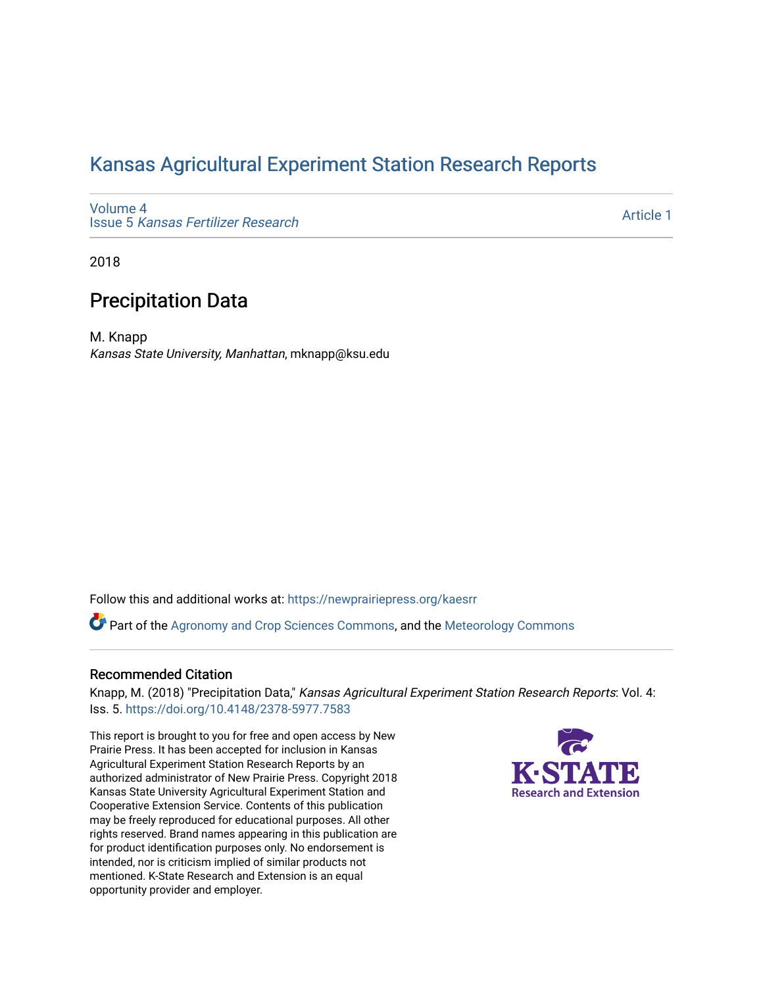## [Kansas Agricultural Experiment Station Research Reports](https://newprairiepress.org/kaesrr)

[Volume 4](https://newprairiepress.org/kaesrr/vol4) Issue 5 [Kansas Fertilizer Research](https://newprairiepress.org/kaesrr/vol4/iss5)

[Article 1](https://newprairiepress.org/kaesrr/vol4/iss5/1) 

2018

## Precipitation Data

M. Knapp Kansas State University, Manhattan, mknapp@ksu.edu

Follow this and additional works at: [https://newprairiepress.org/kaesrr](https://newprairiepress.org/kaesrr?utm_source=newprairiepress.org%2Fkaesrr%2Fvol4%2Fiss5%2F1&utm_medium=PDF&utm_campaign=PDFCoverPages) 

Part of the [Agronomy and Crop Sciences Commons,](http://network.bepress.com/hgg/discipline/103?utm_source=newprairiepress.org%2Fkaesrr%2Fvol4%2Fiss5%2F1&utm_medium=PDF&utm_campaign=PDFCoverPages) and the [Meteorology Commons](http://network.bepress.com/hgg/discipline/190?utm_source=newprairiepress.org%2Fkaesrr%2Fvol4%2Fiss5%2F1&utm_medium=PDF&utm_campaign=PDFCoverPages)

#### Recommended Citation

Knapp, M. (2018) "Precipitation Data," Kansas Agricultural Experiment Station Research Reports: Vol. 4: Iss. 5. <https://doi.org/10.4148/2378-5977.7583>

This report is brought to you for free and open access by New Prairie Press. It has been accepted for inclusion in Kansas Agricultural Experiment Station Research Reports by an authorized administrator of New Prairie Press. Copyright 2018 Kansas State University Agricultural Experiment Station and Cooperative Extension Service. Contents of this publication may be freely reproduced for educational purposes. All other rights reserved. Brand names appearing in this publication are for product identification purposes only. No endorsement is intended, nor is criticism implied of similar products not mentioned. K-State Research and Extension is an equal opportunity provider and employer.

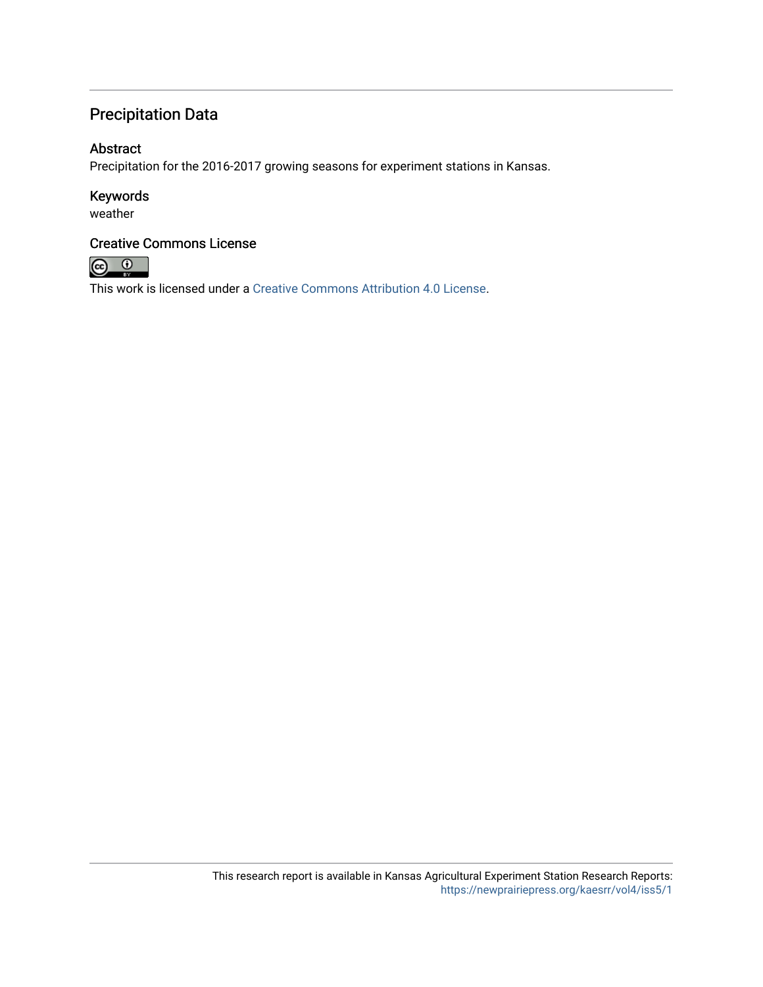## Precipitation Data

### Abstract

Precipitation for the 2016-2017 growing seasons for experiment stations in Kansas.

#### Keywords

weather

#### Creative Commons License



This work is licensed under a [Creative Commons Attribution 4.0 License](https://creativecommons.org/licenses/by/4.0/).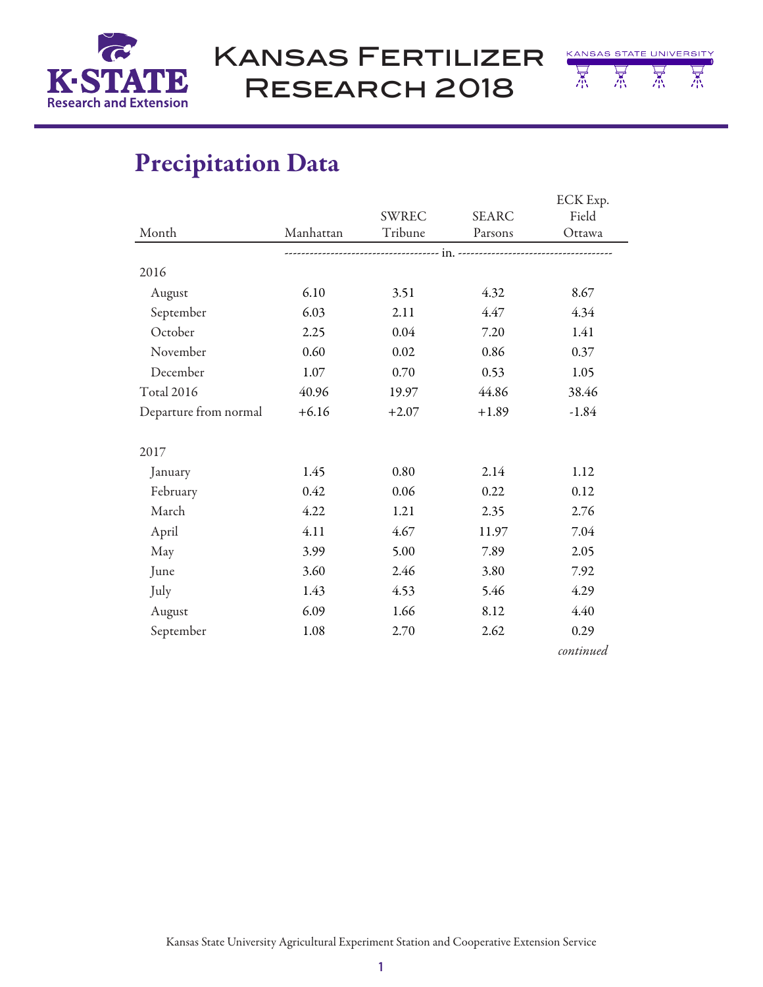

Kansas Fertilizer Research 2018



# Precipitation Data

|                       |           |         |              | ECK Exp.  |  |
|-----------------------|-----------|---------|--------------|-----------|--|
|                       |           | SWREC   | <b>SEARC</b> | Field     |  |
| Month                 | Manhattan | Tribune | Parsons      | Ottawa    |  |
|                       |           |         |              |           |  |
| 2016                  |           |         |              |           |  |
| August                | 6.10      | 3.51    | 4.32         | 8.67      |  |
| September             | 6.03      | 2.11    | 4.47         | 4.34      |  |
| October               | 2.25      | 0.04    | 7.20         | 1.41      |  |
| November              | 0.60      | 0.02    | 0.86         | 0.37      |  |
| December              | 1.07      | 0.70    | 0.53         | 1.05      |  |
| <b>Total 2016</b>     | 40.96     | 19.97   | 44.86        | 38.46     |  |
| Departure from normal | $+6.16$   | $+2.07$ | $+1.89$      | $-1.84$   |  |
| 2017                  |           |         |              |           |  |
| January               | 1.45      | 0.80    | 2.14         | 1.12      |  |
| February              | 0.42      | 0.06    | 0.22         | 0.12      |  |
| March                 | 4.22      | 1.21    | 2.35         | 2.76      |  |
| April                 | 4.11      | 4.67    | 11.97        | 7.04      |  |
| May                   | 3.99      | 5.00    | 7.89         | 2.05      |  |
| June                  | 3.60      | 2.46    | 3.80         | 7.92      |  |
| July                  | 1.43      | 4.53    | 5.46         | 4.29      |  |
| August                | 6.09      | 1.66    | 8.12         | 4.40      |  |
| September             | 1.08      | 2.70    | 2.62         | 0.29      |  |
|                       |           |         |              | continued |  |

Kansas State University Agricultural Experiment Station and Cooperative Extension Service